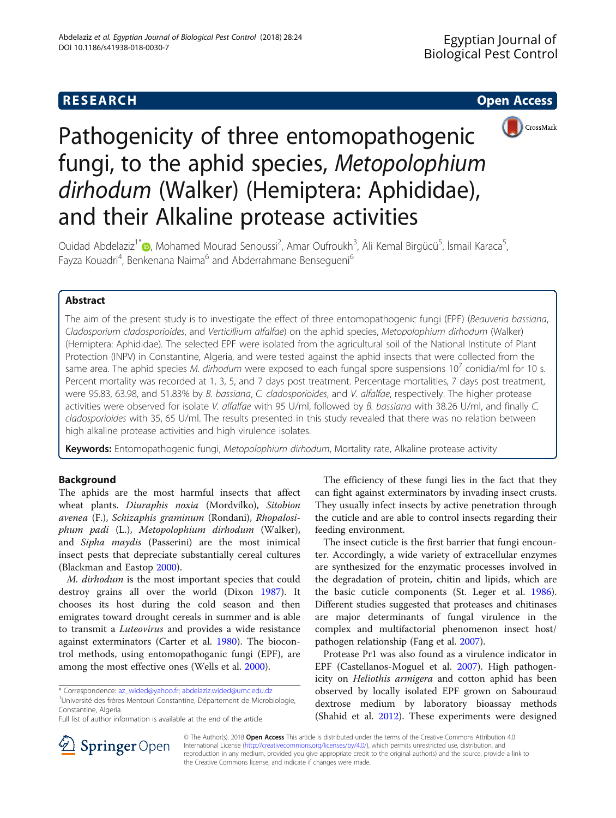# **RESEARCH CHE Open Access**



# Pathogenicity of three entomopathogenic fungi, to the aphid species, Metopolophium dirhodum (Walker) (Hemiptera: Aphididae), and their Alkaline protease activities

Ouidad Abdelaziz<sup>1\*</sup> (**b**[,](http://orcid.org/0000-0002-0763-3068) Mohamed Mourad Senoussi<sup>2</sup>, Amar Oufroukh<sup>3</sup>, Ali Kemal Birgücü<sup>5</sup>, İsmail Karaca<sup>5</sup> , Fayza Kouadri<sup>4</sup>, Benkenana Naima<sup>6</sup> and Abderrahmane Bensegueni<sup>6</sup>

# Abstract

The aim of the present study is to investigate the effect of three entomopathogenic fungi (EPF) (Beauveria bassiana, Cladosporium cladosporioides, and Verticillium alfalfae) on the aphid species, Metopolophium dirhodum (Walker) (Hemiptera: Aphididae). The selected EPF were isolated from the agricultural soil of the National Institute of Plant Protection (INPV) in Constantine, Algeria, and were tested against the aphid insects that were collected from the same area. The aphid species M. dirhodum were exposed to each fungal spore suspensions  $10<sup>7</sup>$  conidia/ml for 10 s. Percent mortality was recorded at 1, 3, 5, and 7 days post treatment. Percentage mortalities, 7 days post treatment, were 95.83, 63.98, and 51.83% by B. bassiana, C. cladosporioides, and V. alfalfae, respectively. The higher protease activities were observed for isolate V. alfalfae with 95 U/ml, followed by B. bassiana with 38.26 U/ml, and finally C. cladosporioides with 35, 65 U/ml. The results presented in this study revealed that there was no relation between high alkaline protease activities and high virulence isolates.

Keywords: Entomopathogenic fungi, Metopolophium dirhodum, Mortality rate, Alkaline protease activity

# Background

The aphids are the most harmful insects that affect wheat plants. Diuraphis noxia (Mordvilko), Sitobion avenea (F.), Schizaphis graminum (Rondani), Rhopalosiphum padi (L.), Metopolophium dirhodum (Walker), and Sipha maydis (Passerini) are the most inimical insect pests that depreciate substantially cereal cultures (Blackman and Eastop [2000\)](#page-4-0).

M. dirhodum is the most important species that could destroy grains all over the world (Dixon [1987\)](#page-4-0). It chooses its host during the cold season and then emigrates toward drought cereals in summer and is able to transmit a Luteovirus and provides a wide resistance against exterminators (Carter et al. [1980](#page-4-0)). The biocontrol methods, using entomopathoganic fungi (EPF), are among the most effective ones (Wells et al. [2000](#page-4-0)).

<sup>1</sup>Université des frères Mentouri Constantine, Département de Microbiologie, Constantine, Algeria

Full list of author information is available at the end of the article

The efficiency of these fungi lies in the fact that they can fight against exterminators by invading insect crusts. They usually infect insects by active penetration through the cuticle and are able to control insects regarding their feeding environment.

The insect cuticle is the first barrier that fungi encounter. Accordingly, a wide variety of extracellular enzymes are synthesized for the enzymatic processes involved in the degradation of protein, chitin and lipids, which are the basic cuticle components (St. Leger et al. [1986](#page-4-0)). Different studies suggested that proteases and chitinases are major determinants of fungal virulence in the complex and multifactorial phenomenon insect host/ pathogen relationship (Fang et al. [2007](#page-4-0)).

Protease Pr1 was also found as a virulence indicator in EPF (Castellanos-Moguel et al. [2007\)](#page-4-0). High pathogenicity on Heliothis armigera and cotton aphid has been observed by locally isolated EPF grown on Sabouraud dextrose medium by laboratory bioassay methods (Shahid et al. [2012\)](#page-4-0). These experiments were designed



© The Author(s). 2018 Open Access This article is distributed under the terms of the Creative Commons Attribution 4.0 International License ([http://creativecommons.org/licenses/by/4.0/\)](http://creativecommons.org/licenses/by/4.0/), which permits unrestricted use, distribution, and reproduction in any medium, provided you give appropriate credit to the original author(s) and the source, provide a link to the Creative Commons license, and indicate if changes were made.

<sup>\*</sup> Correspondence: [az\\_wided@yahoo.fr;](mailto:az_wided@yahoo.fr) [abdelaziz.wided@umc.edu.dz](mailto:abdelaziz.wided@umc.edu.dz) <sup>1</sup>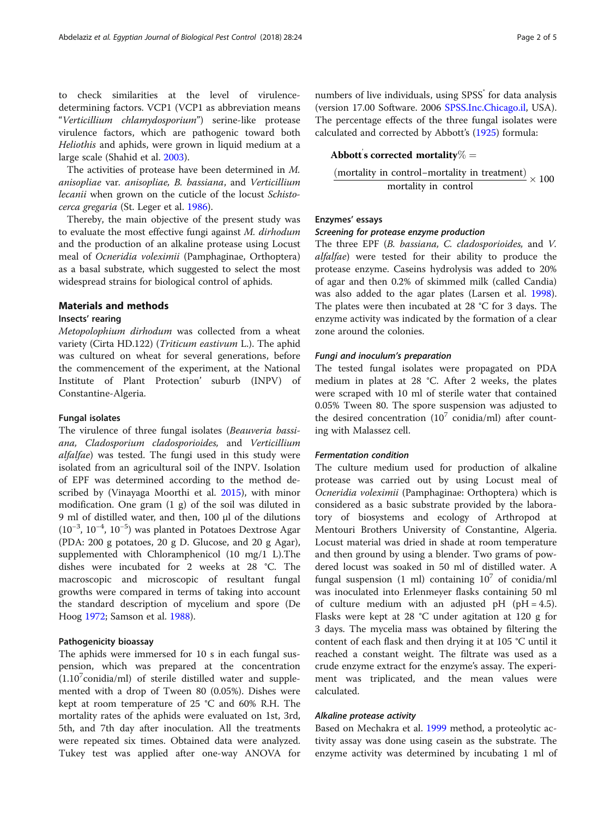to check similarities at the level of virulencedetermining factors. VCP1 (VCP1 as abbreviation means "Verticillium chlamydosporium") serine-like protease virulence factors, which are pathogenic toward both Heliothis and aphids, were grown in liquid medium at a large scale (Shahid et al. [2003\)](#page-4-0).

The activities of protease have been determined in M. anisopliae var. anisopliae, B. bassiana, and Verticillium lecanii when grown on the cuticle of the locust Schistocerca gregaria (St. Leger et al. [1986\)](#page-4-0).

Thereby, the main objective of the present study was to evaluate the most effective fungi against M. dirhodum and the production of an alkaline protease using Locust meal of Ocneridia voleximii (Pamphaginae, Orthoptera) as a basal substrate, which suggested to select the most widespread strains for biological control of aphids.

# Materials and methods

# Insects' rearing

Metopolophium dirhodum was collected from a wheat variety (Cirta HD.122) (Triticum eastivum L.). The aphid was cultured on wheat for several generations, before the commencement of the experiment, at the National Institute of Plant Protection' suburb (INPV) of Constantine-Algeria.

# Fungal isolates

The virulence of three fungal isolates (Beauveria bassiana, Cladosporium cladosporioides, and Verticillium alfalfae) was tested. The fungi used in this study were isolated from an agricultural soil of the INPV. Isolation of EPF was determined according to the method described by (Vinayaga Moorthi et al. [2015](#page-4-0)), with minor modification. One gram (1 g) of the soil was diluted in 9 ml of distilled water, and then, 100 μl of the dilutions (10−<sup>3</sup> , 10−<sup>4</sup> , 10−<sup>5</sup> ) was planted in Potatoes Dextrose Agar (PDA: 200 g potatoes, 20 g D. Glucose, and 20 g Agar), supplemented with Chloramphenicol (10 mg/1 L).The dishes were incubated for 2 weeks at 28 °C. The macroscopic and microscopic of resultant fungal growths were compared in terms of taking into account the standard description of mycelium and spore (De Hoog [1972;](#page-4-0) Samson et al. [1988\)](#page-4-0).

# Pathogenicity bioassay

The aphids were immersed for 10 s in each fungal suspension, which was prepared at the concentration  $(1.10<sup>7</sup>$ conidia/ml) of sterile distilled water and supplemented with a drop of Tween 80 (0.05%). Dishes were kept at room temperature of 25 °C and 60% R.H. The mortality rates of the aphids were evaluated on 1st, 3rd, 5th, and 7th day after inoculation. All the treatments were repeated six times. Obtained data were analyzed. Tukey test was applied after one-way ANOVA for numbers of live individuals, using SPSS<sup>®</sup> for data analysis (version 17.00 Software. 2006 [SPSS.Inc.Chicago.il,](http://spss.inc.chicago.il) USA). The percentage effects of the three fungal isolates were calculated and corrected by Abbott's [\(1925\)](#page-4-0) formula:

# Abbott's corrected mortality $\% =$

```
\frac{\text{(mortality in control-mortality in treatment)}}{1} \times 100mortality in control
```
# Enzymes' essays

# Screening for protease enzyme production

The three EPF (B. bassiana, C. cladosporioides, and V. alfalfae) were tested for their ability to produce the protease enzyme. Caseins hydrolysis was added to 20% of agar and then 0.2% of skimmed milk (called Candia) was also added to the agar plates (Larsen et al. [1998](#page-4-0)). The plates were then incubated at 28 °C for 3 days. The enzyme activity was indicated by the formation of a clear zone around the colonies.

### Fungi and inoculum's preparation

The tested fungal isolates were propagated on PDA medium in plates at 28 °C. After 2 weeks, the plates were scraped with 10 ml of sterile water that contained 0.05% Tween 80. The spore suspension was adjusted to the desired concentration  $(10^7 \text{ conidia/ml})$  after counting with Malassez cell.

#### Fermentation condition

The culture medium used for production of alkaline protease was carried out by using Locust meal of Ocneridia voleximii (Pamphaginae: Orthoptera) which is considered as a basic substrate provided by the laboratory of biosystems and ecology of Arthropod at Mentouri Brothers University of Constantine, Algeria. Locust material was dried in shade at room temperature and then ground by using a blender. Two grams of powdered locust was soaked in 50 ml of distilled water. A fungal suspension (1 ml) containing  $10^7$  of conidia/ml was inoculated into Erlenmeyer flasks containing 50 ml of culture medium with an adjusted  $pH$  ( $pH = 4.5$ ). Flasks were kept at 28 °C under agitation at 120 g for 3 days. The mycelia mass was obtained by filtering the content of each flask and then drying it at 105 °C until it reached a constant weight. The filtrate was used as a crude enzyme extract for the enzyme's assay. The experiment was triplicated, and the mean values were calculated.

## Alkaline protease activity

Based on Mechakra et al. [1999](#page-4-0) method, a proteolytic activity assay was done using casein as the substrate. The enzyme activity was determined by incubating 1 ml of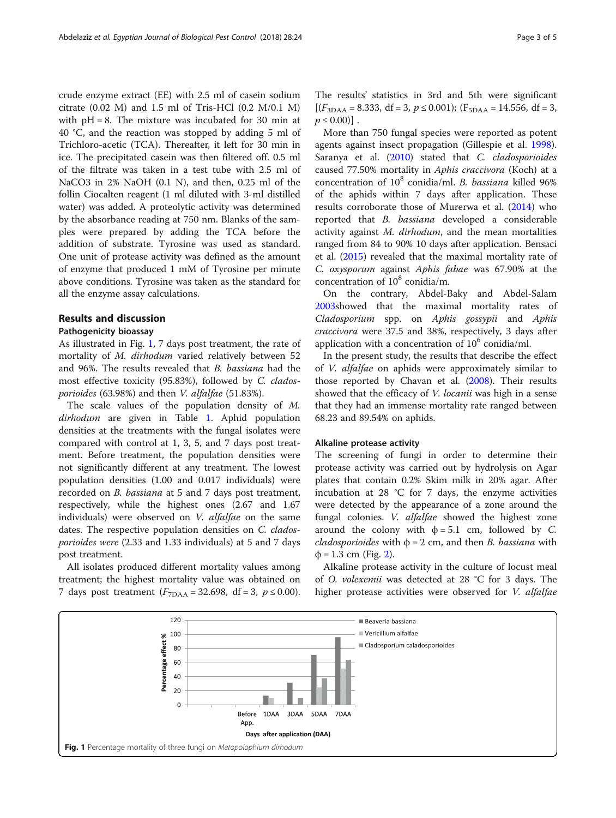crude enzyme extract (EE) with 2.5 ml of casein sodium citrate (0.02 M) and 1.5 ml of Tris-HCl (0.2 M/0.1 M) with  $pH = 8$ . The mixture was incubated for 30 min at 40 °C, and the reaction was stopped by adding 5 ml of Trichloro-acetic (TCA). Thereafter, it left for 30 min in ice. The precipitated casein was then filtered off. 0.5 ml of the filtrate was taken in a test tube with 2.5 ml of NaCO3 in 2% NaOH (0.1 N), and then, 0.25 ml of the follin Ciocalten reagent (1 ml diluted with 3-ml distilled water) was added. A proteolytic activity was determined by the absorbance reading at 750 nm. Blanks of the samples were prepared by adding the TCA before the addition of substrate. Tyrosine was used as standard. One unit of protease activity was defined as the amount of enzyme that produced 1 mM of Tyrosine per minute above conditions. Tyrosine was taken as the standard for all the enzyme assay calculations.

#### Results and discussion

#### Pathogenicity bioassay

As illustrated in Fig. 1, 7 days post treatment, the rate of mortality of M. dirhodum varied relatively between 52 and 96%. The results revealed that B. bassiana had the most effective toxicity (95.83%), followed by C. cladosporioides (63.98%) and then V. alfalfae (51.83%).

The scale values of the population density of M. dirhodum are given in Table [1.](#page-3-0) Aphid population densities at the treatments with the fungal isolates were compared with control at 1, 3, 5, and 7 days post treatment. Before treatment, the population densities were not significantly different at any treatment. The lowest population densities (1.00 and 0.017 individuals) were recorded on B. bassiana at 5 and 7 days post treatment, respectively, while the highest ones (2.67 and 1.67 individuals) were observed on V. alfalfae on the same dates. The respective population densities on C. cladosporioides were (2.33 and 1.33 individuals) at 5 and 7 days post treatment.

All isolates produced different mortality values among treatment; the highest mortality value was obtained on 7 days post treatment  $(F_{7\text{DAA}} = 32.698, df = 3, p \le 0.00)$ .

The results' statistics in 3rd and 5th were significant  $[(F_{3DAA} = 8.333, df = 3, p \le 0.001); (F_{5DAA} = 14.556, df = 3,$  $p \leq 0.00$ ].

More than 750 fungal species were reported as potent agents against insect propagation (Gillespie et al. [1998](#page-4-0)). Saranya et al. [\(2010\)](#page-4-0) stated that C. cladosporioides caused 77.50% mortality in Aphis craccivora (Koch) at a concentration of  $10^8$  conidia/ml. B. bassiana killed 96% of the aphids within 7 days after application. These results corroborate those of Murerwa et al. [\(2014](#page-4-0)) who reported that B. bassiana developed a considerable activity against M. dirhodum, and the mean mortalities ranged from 84 to 90% 10 days after application. Bensaci et al. ([2015](#page-4-0)) revealed that the maximal mortality rate of C. oxysporum against Aphis fabae was 67.90% at the concentration of  $10^8$  conidia/m.

On the contrary, Abdel-Baky and Abdel-Salam [2003](#page-4-0)showed that the maximal mortality rates of Cladosporium spp. on Aphis gossypii and Aphis craccivora were 37.5 and 38%, respectively, 3 days after application with a concentration of  $10^6$  conidia/ml.

In the present study, the results that describe the effect of V. alfalfae on aphids were approximately similar to those reported by Chavan et al. ([2008](#page-4-0)). Their results showed that the efficacy of *V. locanii* was high in a sense that they had an immense mortality rate ranged between 68.23 and 89.54% on aphids.

### Alkaline protease activity

The screening of fungi in order to determine their protease activity was carried out by hydrolysis on Agar plates that contain 0.2% Skim milk in 20% agar. After incubation at 28 °C for 7 days, the enzyme activities were detected by the appearance of a zone around the fungal colonies. V. alfalfae showed the highest zone around the colony with  $\phi = 5.1$  cm, followed by C. cladosporioides with  $\phi = 2$  cm, and then *B*. bassiana with  $\phi = 1.3$  cm (Fig. [2](#page-3-0)).

Alkaline protease activity in the culture of locust meal of O. volexemii was detected at 28 °C for 3 days. The higher protease activities were observed for V. alfalfae

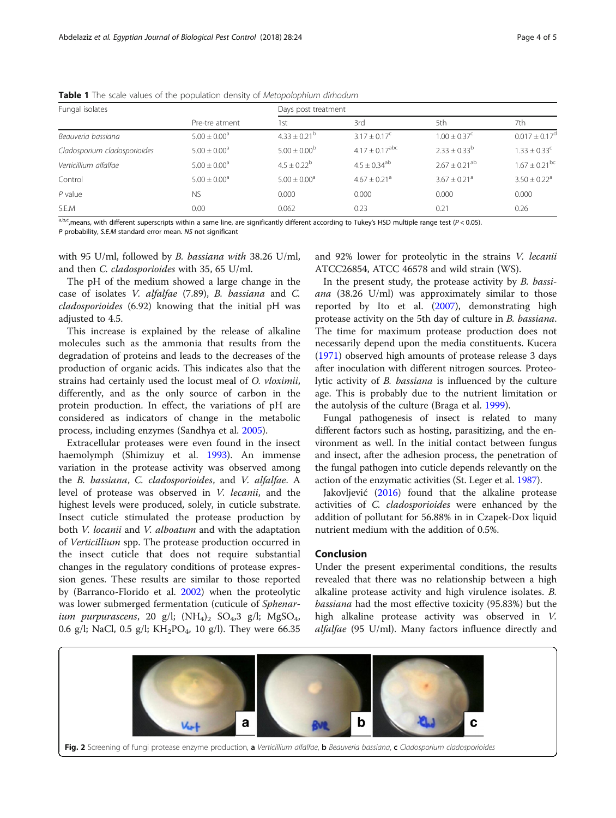| Fungal isolates              |                              | Days post treatment     |                                |                               |                              |
|------------------------------|------------------------------|-------------------------|--------------------------------|-------------------------------|------------------------------|
|                              | Pre-tre atment               | 1st                     | 3rd                            | 5th                           | 7th                          |
| Beauveria bassiana           | $5.00 + 0.00^a$              | $4.33 + 0.21^b$         | $3.17 + 0.17^{\circ}$          | $1.00 + 0.37^{\circ}$         | $0.017 + 0.17^{\circ}$       |
| Cladosporium cladosporioides | $5.00 \pm 0.00$ <sup>a</sup> | $5.00 \pm 0.00^{\rm b}$ | $4.17 \pm 0.17$ <sup>abc</sup> | $2.33 \pm 0.33^b$             | $1.33 \pm 0.33^c$            |
| Verticillium alfalfae        | $5.00 \pm 0.00$ <sup>a</sup> | $4.5 + 0.22^b$          | $4.5 \pm 0.34$ <sup>ab</sup>   | $2.67 \pm 0.21$ <sup>ab</sup> | $1.67 + 0.21$ <sup>bc</sup>  |
| Control                      | $5.00 \pm 0.00^a$            | $5.00 \pm 0.00^a$       | $4.67 \pm 0.21$ <sup>a</sup>   | $3.67 + 0.21$ <sup>a</sup>    | $3.50 \pm 0.22$ <sup>a</sup> |
| $P$ value                    | <b>NS</b>                    | 0.000                   | 0.000                          | 0.000                         | 0.000                        |
| S.E.M                        | 0.00                         | 0.062                   | 0.23                           | 0.21                          | 0.26                         |

<span id="page-3-0"></span>Table 1 The scale values of the population density of Metopolophium dirhodum

 $a,b,c$ , means, with different superscripts within a same line, are significantly different according to Tukey's HSD multiple range test ( $P < 0.05$ ).

P probability, S.E.M standard error mean. NS not significant

with 95 U/ml, followed by B. bassiana with 38.26 U/ml, and then C. cladosporioides with 35, 65 U/ml.

The pH of the medium showed a large change in the case of isolates V. alfalfae (7.89), B. bassiana and C. cladosporioides (6.92) knowing that the initial pH was adjusted to 4.5.

This increase is explained by the release of alkaline molecules such as the ammonia that results from the degradation of proteins and leads to the decreases of the production of organic acids. This indicates also that the strains had certainly used the locust meal of O. vloximii, differently, and as the only source of carbon in the protein production. In effect, the variations of pH are considered as indicators of change in the metabolic process, including enzymes (Sandhya et al. [2005\)](#page-4-0).

Extracellular proteases were even found in the insect haemolymph (Shimizuy et al. [1993\)](#page-4-0). An immense variation in the protease activity was observed among the B. bassiana, C. cladosporioides, and V. alfalfae. A level of protease was observed in V. lecanii, and the highest levels were produced, solely, in cuticle substrate. Insect cuticle stimulated the protease production by both V. locanii and V. alboatum and with the adaptation of Verticillium spp. The protease production occurred in the insect cuticle that does not require substantial changes in the regulatory conditions of protease expression genes. These results are similar to those reported by (Barranco-Florido et al. [2002\)](#page-4-0) when the proteolytic was lower submerged fermentation (cuticule of Sphenarium purpurascens, 20 g/l;  $(NH_4)_2$  SO<sub>4</sub>,3 g/l; MgSO<sub>4</sub>, 0.6 g/l; NaCl, 0.5 g/l;  $KH_2PO_4$ , 10 g/l). They were 66.35 and 92% lower for proteolytic in the strains V. lecanii ATCC26854, ATCC 46578 and wild strain (WS).

In the present study, the protease activity by B. bassiana (38.26 U/ml) was approximately similar to those reported by Ito et al. [\(2007](#page-4-0)), demonstrating high protease activity on the 5th day of culture in B. bassiana. The time for maximum protease production does not necessarily depend upon the media constituents. Kucera ([1971\)](#page-4-0) observed high amounts of protease release 3 days after inoculation with different nitrogen sources. Proteolytic activity of B. bassiana is influenced by the culture age. This is probably due to the nutrient limitation or the autolysis of the culture (Braga et al. [1999](#page-4-0)).

Fungal pathogenesis of insect is related to many different factors such as hosting, parasitizing, and the environment as well. In the initial contact between fungus and insect, after the adhesion process, the penetration of the fungal pathogen into cuticle depends relevantly on the action of the enzymatic activities (St. Leger et al. [1987](#page-4-0)).

Jakovljević [\(2016\)](#page-4-0) found that the alkaline protease activities of C. cladosporioides were enhanced by the addition of pollutant for 56.88% in in Czapek-Dox liquid nutrient medium with the addition of 0.5%.

# Conclusion

Under the present experimental conditions, the results revealed that there was no relationship between a high alkaline protease activity and high virulence isolates. B. bassiana had the most effective toxicity (95.83%) but the high alkaline protease activity was observed in V. alfalfae (95 U/ml). Many factors influence directly and